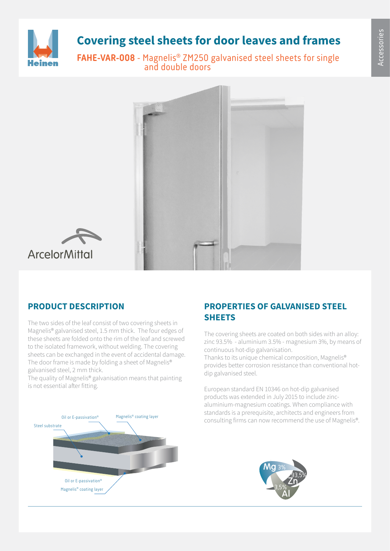

# **Covering steel sheets for door leaves and frames**

**FAHE-VAR-008** - Magnelis® ZM250 galvanised steel sheets for single and double doors





## **PRODUCT DESCRIPTION**

The two sides of the leaf consist of two covering sheets in Magnelis® galvanised steel, 1.5 mm thick. The four edges of these sheets are folded onto the rim of the leaf and screwed to the isolated framework, without welding. The covering sheets can be exchanged in the event of accidental damage. The door frame is made by folding a sheet of Magnelis® galvanised steel, 2 mm thick.

The quality of Magnelis® galvanisation means that painting is not essential after fitting.



### **PROPERTIES OF GALVANISED STEEL SHEETS**

The covering sheets are coated on both sides with an alloy: zinc 93.5% - aluminium 3.5% - magnesium 3%, by means of continuous hot-dip galvanisation.

Thanks to its unique chemical composition, Magnelis® provides better corrosion resistance than conventional hotdip galvanised steel.

European standard EN 10346 on hot-dip galvanised products was extended in July 2015 to include zincaluminium-magnesium coatings. When compliance with standards is a prerequisite, architects and engineers from Magnelis® coating layer<br>consulting firms can now recommend the use of Magnelis®.